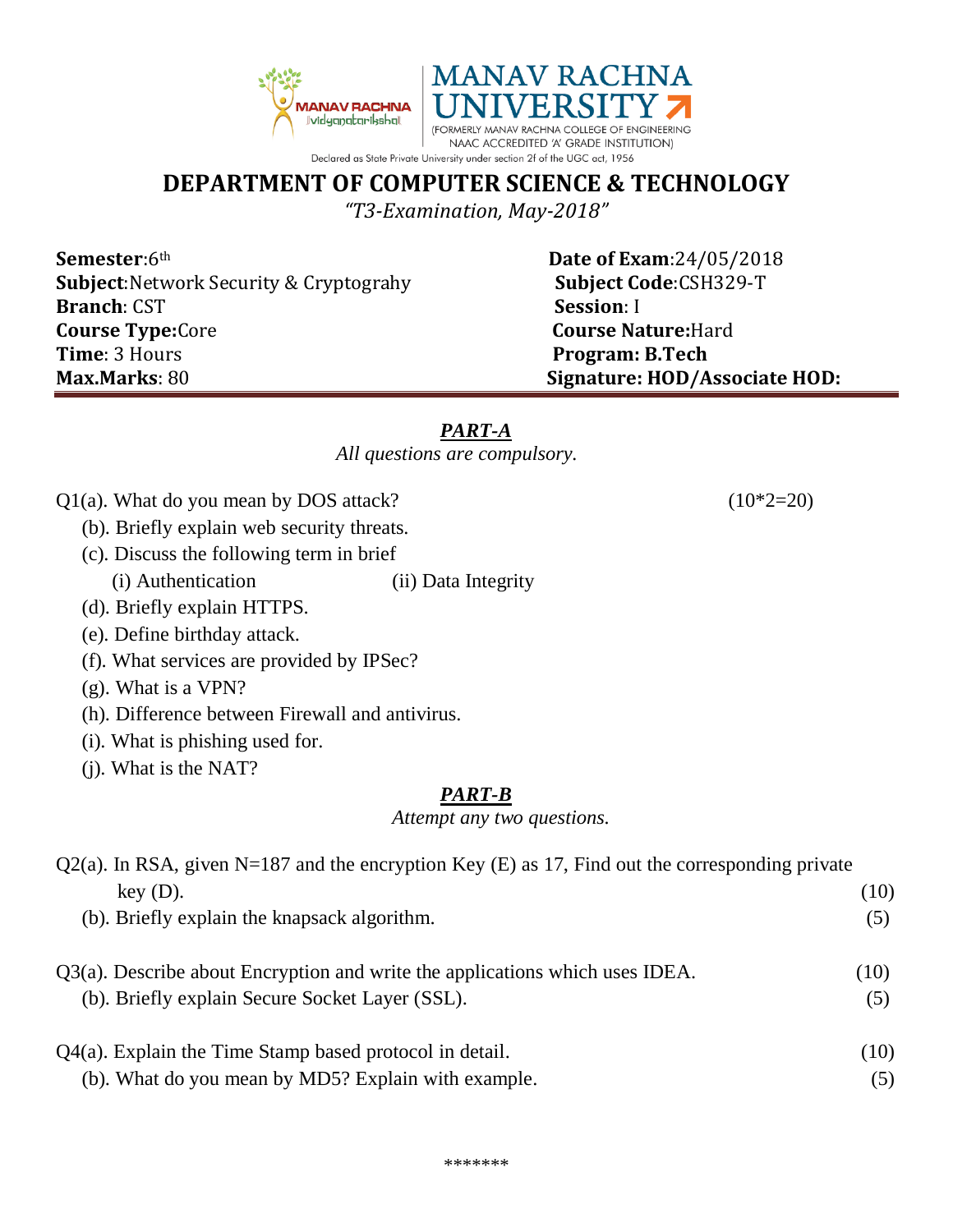

## **DEPARTMENT OF COMPUTER SCIENCE & TECHNOLOGY**

*"T3-Examination, May-2018"*

**Semester**:6<sup>th</sup> **Date of Exam**:24/05/2018 **Subject:**Network Security & Cryptograhy **Subject Code**:CSH329-T **Branch**: CST **Session**: I **Course Type:**Core **Course Nature:**Hard **Time**: 3 Hours **Program: B.Tech Max.Marks**: 80 **Signature: HOD/Associate HOD:**

#### *PART-A*

*All questions are compulsory.*

- $Q1(a)$ . What do you mean by DOS attack? (10\*2=20)
	- (b). Briefly explain web security threats.
	- (c). Discuss the following term in brief
	- (i) Authentication (ii) Data Integrity
	- (d). Briefly explain HTTPS.
	- (e). Define birthday attack.
	- (f). What services are provided by IPSec?
	- (g). What is a VPN?
	- (h). Difference between Firewall and antivirus.
	- (i). What is phishing used for.
	- (j). What is the NAT?

## *PART-B*

*Attempt any two questions.*

| $Q2(a)$ . In RSA, given N=187 and the encryption Key (E) as 17, Find out the corresponding private |      |
|----------------------------------------------------------------------------------------------------|------|
| $key(D)$ .                                                                                         | (10) |
| (b). Briefly explain the knapsack algorithm.                                                       | (5)  |
| Q3(a). Describe about Encryption and write the applications which uses IDEA.                       | (10) |
| (b). Briefly explain Secure Socket Layer (SSL).                                                    | (5)  |
| $Q4(a)$ . Explain the Time Stamp based protocol in detail.                                         | (10) |
| (b). What do you mean by MD5? Explain with example.                                                | (5)  |